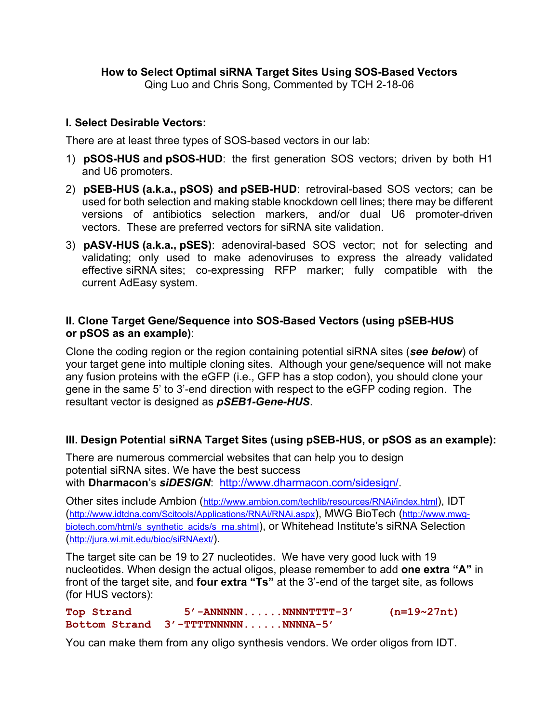# **I. Select Desirable Vectors:**

There are at least three types of SOS-based vectors in our lab:

- 1) **pSOS-HUS and pSOS-HUD**: the first generation SOS vectors; driven by both H1 and U6 promoters.
- 2) **pSEB-HUS (a.k.a., pSOS) and pSEB-HUD**: retroviral-based SOS vectors; can be used for both selection and making stable knockdown cell lines; there may be different versions of antibiotics selection markers, and/or dual U6 promoter-driven vectors. These are preferred vectors for siRNA site validation.
- 3) **pASV-HUS (a.k.a., pSES)**: adenoviral-based SOS vector; not for selecting and validating; only used to make adenoviruses to express the already validated effective siRNA sites; co-expressing RFP marker; fully compatible with the current AdEasy system.

## **II. Clone Target Gene/Sequence into SOS-Based Vectors (using pSEB-HUS or pSOS as an example)**:

Clone the coding region or the region containing potential siRNA sites (*see below*) of your target gene into multiple cloning sites. Although your gene/sequence will not make any fusion proteins with the eGFP (i.e., GFP has a stop codon), you should clone your gene in the same 5' to 3'-end direction with respect to the eGFP coding region. The resultant vector is designed as *pSEB1-Gene-HUS*.

# **III. Design Potential siRNA Target Sites (using pSEB-HUS, or pSOS as an example):**

There are numerous commercial websites that can help you to design potential siRNA sites. We have the best success with **Dharmacon**'s *siDESIGN*: http://www.dharmacon.com/sidesign/.

Other sites include Ambion (http://www.ambion.com/techlib/resources/RNAi/index.html), IDT (http://www.idtdna.com/Scitools/Applications/RNAi/RNAi.aspx), MWG BioTech (http://www.mwgbiotech.com/html/s\_synthetic\_acids/s\_rna.shtml), or Whitehead Institute's siRNA Selection (http://jura.wi.mit.edu/bioc/siRNAext/).

The target site can be 19 to 27 nucleotides. We have very good luck with 19 nucleotides. When design the actual oligos, please remember to add **one extra "A"** in front of the target site, and **four extra "Ts"** at the 3'-end of the target site, as follows (for HUS vectors):

**Top Strand 5'-ANNNNN......NNNNTTTT-3' (n=19~27nt) Bottom Strand 3'-TTTTNNNNN......NNNNA-5'**

You can make them from any oligo synthesis vendors. We order oligos from IDT.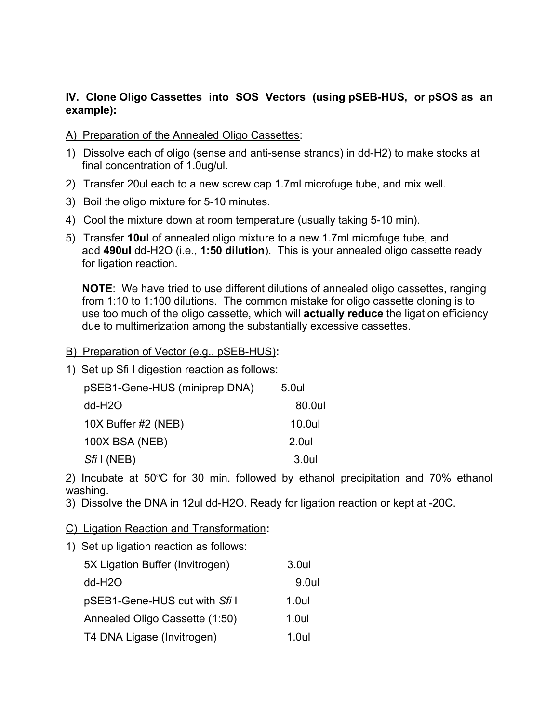## **IV. Clone Oligo Cassettes into SOS Vectors (using pSEB-HUS, or pSOS as an example):**

A) Preparation of the Annealed Oligo Cassettes:

- 1) Dissolve each of oligo (sense and anti-sense strands) in dd-H2) to make stocks at final concentration of 1.0ug/ul.
- 2) Transfer 20ul each to a new screw cap 1.7ml microfuge tube, and mix well.
- 3) Boil the oligo mixture for 5-10 minutes.
- 4) Cool the mixture down at room temperature (usually taking 5-10 min).
- 5) Transfer **10ul** of annealed oligo mixture to a new 1.7ml microfuge tube, and add **490ul** dd-H2O (i.e., **1:50 dilution**). This is your annealed oligo cassette ready for ligation reaction.

**NOTE**: We have tried to use different dilutions of annealed oligo cassettes, ranging from 1:10 to 1:100 dilutions. The common mistake for oligo cassette cloning is to use too much of the oligo cassette, which will **actually reduce** the ligation efficiency due to multimerization among the substantially excessive cassettes.

- B) Preparation of Vector (e.g., pSEB-HUS)**:**
- 1) Set up Sfi I digestion reaction as follows:

| pSEB1-Gene-HUS (miniprep DNA) | 5.0ul  |
|-------------------------------|--------|
| dd-H <sub>2</sub> O           | 80.0ul |
| 10X Buffer #2 (NEB)           | 10.0ul |
| 100X BSA (NEB)                | 2.0ul  |
| $Sfi$ (NEB)                   | 3.0ul  |

2) Incubate at 50°C for 30 min. followed by ethanol precipitation and 70% ethanol washing.

- 3) Dissolve the DNA in 12ul dd-H2O. Ready for ligation reaction or kept at -20C.
- C) Ligation Reaction and Transformation**:**
- 1) Set up ligation reaction as follows:

| 5X Ligation Buffer (Invitrogen) | 3.0ul    |
|---------------------------------|----------|
| dd-H <sub>2</sub> O             | 9.0ul    |
| pSEB1-Gene-HUS cut with Sfi I   | 1.0ul    |
| Annealed Oligo Cassette (1:50)  | $1.0$ ul |
| T4 DNA Ligase (Invitrogen)      | 1 Oul    |